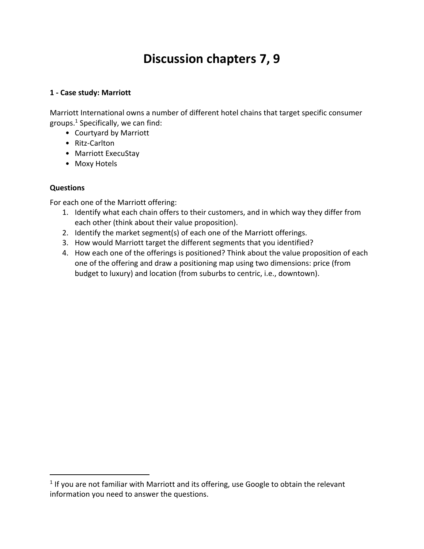# **Discussion chapters 7, 9**

#### **1 - Case study: Marriott**

Marriott International owns a number of different hotel chains that target specific consumer groups. $1$  Specifically, we can find:

- Courtyard by Marriott
- Ritz-Carlton
- Marriott ExecuStay
- Moxy Hotels

### **Questions**

For each one of the Marriott offering:

- 1. Identify what each chain offers to their customers, and in which way they differ from each other (think about their value proposition).
- 2. Identify the market segment(s) of each one of the Marriott offerings.
- 3. How would Marriott target the different segments that you identified?
- 4. How each one of the offerings is positioned? Think about the value proposition of each one of the offering and draw a positioning map using two dimensions: price (from budget to luxury) and location (from suburbs to centric, i.e., downtown).

 $1$  If you are not familiar with Marriott and its offering, use Google to obtain the relevant information you need to answer the questions.